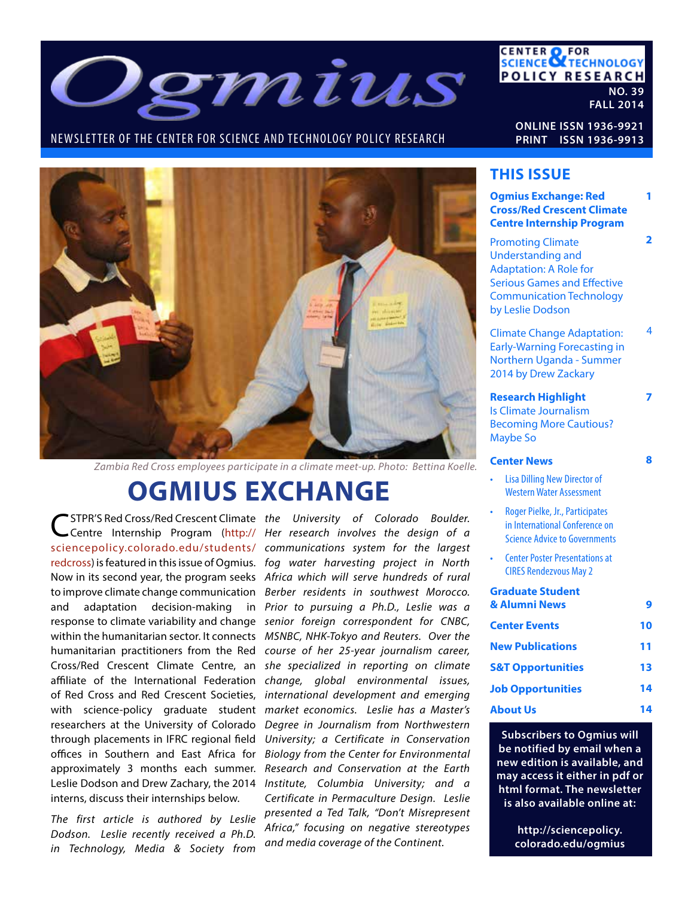

NEWSLETTER OF THE CENTER FOR SCIENCE AND TECHNOLOGY POLICY RESEARCH

**CENTER OF FOR<br>SCIENCE OF TECHNOLOGY POLICY RESEARCH NO. 39 FALL 2014**

**ONLINE ISSN 1936-9921 PRINT ISSN 1936-9913**



*Zambia Red Cross employees participate in a climate meet-up. Photo: Bettina Koelle.*

# **OGMIUS EXCHANGE**

**STPR'S Red Cross/Red Crescent Climate the University of Colorado Boulder. C**STPR'S Red Cross/Red Crescent Climate *the University of Colorado Boulder.*<br>Centre Internship Program (http:// Her research involves the design of a humanitarian practitioners from the Red Cross/Red Crescent Climate Centre, an affiliate of the International Federation of Red Cross and Red Crescent Societies, researchers at the University of Colorado through placements in IFRC regional field offices in Southern and East Africa for approximately 3 months each summer. Leslie Dodson and Drew Zachary, the 2014 interns, discuss their internships below.

*The first article is authored by Leslie Dodson. Leslie recently received a Ph.D. in Technology, Media & Society from* 

*communications system for the largest*  sciencepolicy.colorado.edu/students/ redcross) is featured in this issue of Ogmius. *fog water harvesting project in North* Now in its second year, the program seeks Africa which will serve hundreds of rural to improve climate change communication Berber residents in southwest Morocco. and adaptation decision-making in *Prior to pursuing a Ph.D., Leslie was a* response to climate variability and change senior foreign correspondent for CNBC, within the humanitarian sector. It connects MSNBC, NHK-Tokyo and Reuters. Over the *course of her 25-year journalism career, she specialized in reporting on climate change, global environmental issues, international development and emerging*  with science-policy graduate student *market economics. Leslie has a Master's Degree in Journalism from Northwestern University; a Certificate in Conservation Biology from the Center for Environmental Research and Conservation at the Earth Institute, Columbia University; and a Certificate in Permaculture Design. Leslie presented a Ted Talk, "Don't Misrepresent Africa," focusing on negative stereotypes and media coverage of the Continent.*

### **THIS ISSUE**

| I FIIS ISSUE                                                                                                                                                                       |    |
|------------------------------------------------------------------------------------------------------------------------------------------------------------------------------------|----|
| <b>Ogmius Exchange: Red</b><br><b>Cross/Red Crescent Climate</b><br><b>Centre Internship Program</b>                                                                               | 1  |
| <b>Promoting Climate</b><br><b>Understanding and</b><br><b>Adaptation: A Role for</b><br><b>Serious Games and Effective</b><br><b>Communication Technology</b><br>by Leslie Dodson | 2  |
| <b>Climate Change Adaptation:</b><br><b>Early-Warning Forecasting in</b><br>Northern Uganda - Summer<br>2014 by Drew Zackary                                                       | 4  |
| <b>Research Highlight</b><br><b>Is Climate Journalism</b><br><b>Becoming More Cautious?</b><br><b>Maybe So</b>                                                                     |    |
| <b>Center News</b>                                                                                                                                                                 | 8  |
| <b>Lisa Dilling New Director of</b><br><b>Western Water Assessment</b>                                                                                                             |    |
| Roger Pielke, Jr., Participates<br>in International Conference on<br><b>Science Advice to Governments</b>                                                                          |    |
| <b>Center Poster Presentations at</b><br><b>CIRES Rendezvous May 2</b>                                                                                                             |    |
| <b>Graduate Student</b><br>& Alumni News                                                                                                                                           | 9  |
| <b>Center Events</b>                                                                                                                                                               | 10 |
| <b>New Publications</b>                                                                                                                                                            | 11 |
| <b>S&amp;T Opportunities</b>                                                                                                                                                       | 13 |
| <b>Job Opportunities</b>                                                                                                                                                           | 14 |
| About Us                                                                                                                                                                           | 14 |

**Subscribers to Ogmius will be notified by email when a new edition is available, and may access it either in pdf or html format. The newsletter is also available online at:**

> **http://sciencepolicy. colorado.edu/ogmius**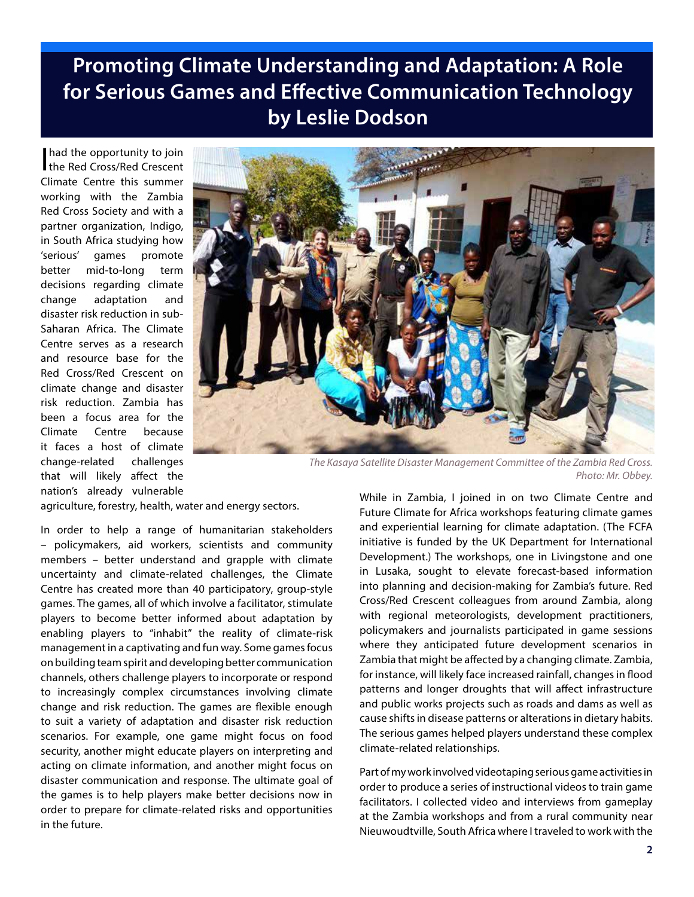## **Promoting Climate Understanding and Adaptation: A Role for Serious Games and Effective Communication Technology by Leslie Dodson**

had the opportunity to join<br>the Red Cross/Red Crescent Climate Centre this summer working with the Zambia Red Cross Society and with a partner organization, Indigo, in South Africa studying how 'serious' games promote better mid-to-long term decisions regarding climate change adaptation and disaster risk reduction in sub-Saharan Africa. The Climate Centre serves as a research and resource base for the Red Cross/Red Crescent on climate change and disaster risk reduction. Zambia has been a focus area for the Climate Centre because it faces a host of climate change-related challenges that will likely affect the nation's already vulnerable



*The Kasaya Satellite Disaster Management Committee of the Zambia Red Cross. Photo: Mr. Obbey.*

agriculture, forestry, health, water and energy sectors.

In order to help a range of humanitarian stakeholders – policymakers, aid workers, scientists and community members – better understand and grapple with climate uncertainty and climate-related challenges, the Climate Centre has created more than 40 participatory, group-style games. The games, all of which involve a facilitator, stimulate players to become better informed about adaptation by enabling players to "inhabit" the reality of climate-risk management in a captivating and fun way. Some games focus on building team spirit and developing better communication channels, others challenge players to incorporate or respond to increasingly complex circumstances involving climate change and risk reduction. The games are flexible enough to suit a variety of adaptation and disaster risk reduction scenarios. For example, one game might focus on food security, another might educate players on interpreting and acting on climate information, and another might focus on disaster communication and response. The ultimate goal of the games is to help players make better decisions now in order to prepare for climate-related risks and opportunities in the future.

While in Zambia, I joined in on two Climate Centre and Future Climate for Africa workshops featuring climate games and experiential learning for climate adaptation. (The FCFA initiative is funded by the UK Department for International Development.) The workshops, one in Livingstone and one in Lusaka, sought to elevate forecast-based information into planning and decision-making for Zambia's future. Red Cross/Red Crescent colleagues from around Zambia, along with regional meteorologists, development practitioners, policymakers and journalists participated in game sessions where they anticipated future development scenarios in Zambia that might be affected by a changing climate. Zambia, for instance, will likely face increased rainfall, changes in flood patterns and longer droughts that will affect infrastructure and public works projects such as roads and dams as well as cause shifts in disease patterns or alterations in dietary habits. The serious games helped players understand these complex climate-related relationships.

Part of my work involved videotaping serious game activities in order to produce a series of instructional videos to train game facilitators. I collected video and interviews from gameplay at the Zambia workshops and from a rural community near Nieuwoudtville, South Africa where I traveled to work with the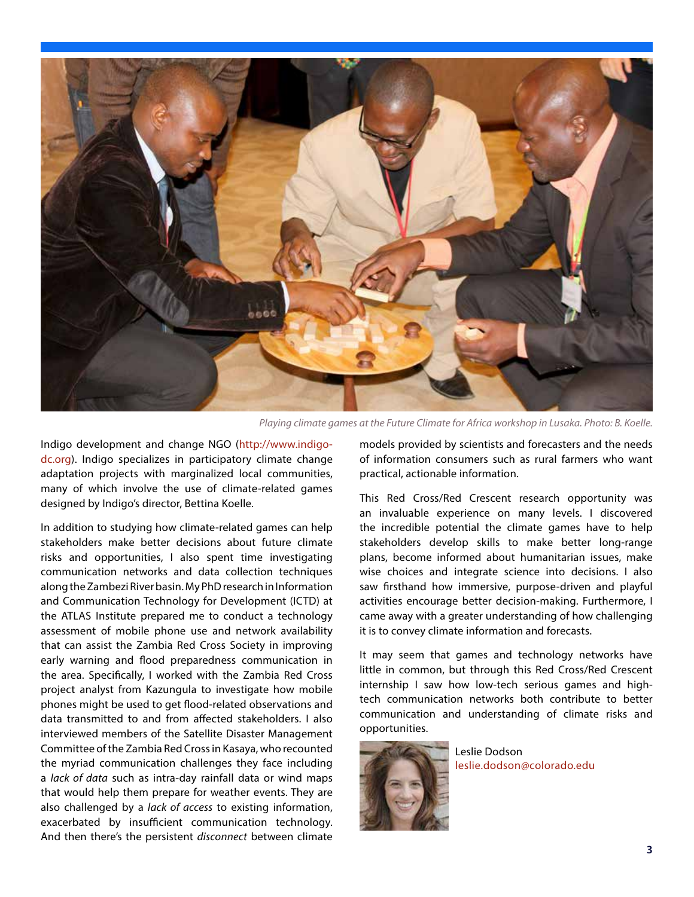

*Playing climate games at the Future Climate for Africa workshop in Lusaka. Photo: B. Koelle.*

Indigo development and change NGO (http://www.indigodc.org). Indigo specializes in participatory climate change adaptation projects with marginalized local communities, many of which involve the use of climate-related games designed by Indigo's director, Bettina Koelle.

In addition to studying how climate-related games can help stakeholders make better decisions about future climate risks and opportunities, I also spent time investigating communication networks and data collection techniques along the Zambezi River basin. My PhD research in Information and Communication Technology for Development (ICTD) at the ATLAS Institute prepared me to conduct a technology assessment of mobile phone use and network availability that can assist the Zambia Red Cross Society in improving early warning and flood preparedness communication in the area. Specifically, I worked with the Zambia Red Cross project analyst from Kazungula to investigate how mobile phones might be used to get flood-related observations and data transmitted to and from affected stakeholders. I also interviewed members of the Satellite Disaster Management Committee of the Zambia Red Cross in Kasaya, who recounted the myriad communication challenges they face including a *lack of data* such as intra-day rainfall data or wind maps that would help them prepare for weather events. They are also challenged by a *lack of access* to existing information, exacerbated by insufficient communication technology. And then there's the persistent *disconnect* between climate

models provided by scientists and forecasters and the needs of information consumers such as rural farmers who want practical, actionable information.

This Red Cross/Red Crescent research opportunity was an invaluable experience on many levels. I discovered the incredible potential the climate games have to help stakeholders develop skills to make better long-range plans, become informed about humanitarian issues, make wise choices and integrate science into decisions. I also saw firsthand how immersive, purpose-driven and playful activities encourage better decision-making. Furthermore, I came away with a greater understanding of how challenging it is to convey climate information and forecasts.

It may seem that games and technology networks have little in common, but through this Red Cross/Red Crescent internship I saw how low-tech serious games and hightech communication networks both contribute to better communication and understanding of climate risks and opportunities.



Leslie Dodson leslie.dodson@colorado.edu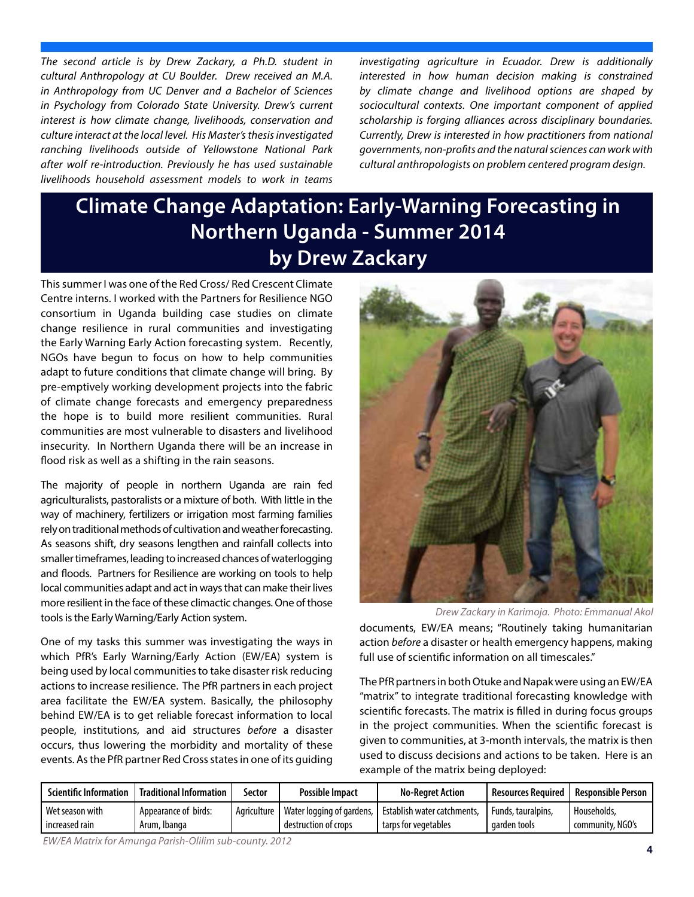*The second article is by Drew Zackary, a Ph.D. student in cultural Anthropology at CU Boulder. Drew received an M.A. in Anthropology from UC Denver and a Bachelor of Sciences in Psychology from Colorado State University. Drew's current interest is how climate change, livelihoods, conservation and culture interact at the local level. His Master's thesis investigated ranching livelihoods outside of Yellowstone National Park after wolf re-introduction. Previously he has used sustainable livelihoods household assessment models to work in teams* 

*investigating agriculture in Ecuador. Drew is additionally interested in how human decision making is constrained by climate change and livelihood options are shaped by sociocultural contexts. One important component of applied scholarship is forging alliances across disciplinary boundaries. Currently, Drew is interested in how practitioners from national governments, non-profits and the natural sciences can work with cultural anthropologists on problem centered program design.* 

## **Climate Change Adaptation: Early-Warning Forecasting in Northern Uganda - Summer 2014 by Drew Zackary**

This summer I was one of the Red Cross/ Red Crescent Climate Centre interns. I worked with the Partners for Resilience NGO consortium in Uganda building case studies on climate change resilience in rural communities and investigating the Early Warning Early Action forecasting system. Recently, NGOs have begun to focus on how to help communities adapt to future conditions that climate change will bring. By pre-emptively working development projects into the fabric of climate change forecasts and emergency preparedness the hope is to build more resilient communities. Rural communities are most vulnerable to disasters and livelihood insecurity. In Northern Uganda there will be an increase in flood risk as well as a shifting in the rain seasons.

The majority of people in northern Uganda are rain fed agriculturalists, pastoralists or a mixture of both. With little in the way of machinery, fertilizers or irrigation most farming families rely on traditional methods of cultivation and weather forecasting. As seasons shift, dry seasons lengthen and rainfall collects into smaller timeframes, leading to increased chances of waterlogging and floods. Partners for Resilience are working on tools to help local communities adapt and act in ways that can make their lives more resilient in the face of these climactic changes. One of those tools is the Early Warning/Early Action system.

One of my tasks this summer was investigating the ways in which PfR's Early Warning/Early Action (EW/EA) system is being used by local communities to take disaster risk reducing actions to increase resilience. The PfR partners in each project area facilitate the EW/EA system. Basically, the philosophy behind EW/EA is to get reliable forecast information to local people, institutions, and aid structures *before* a disaster occurs, thus lowering the morbidity and mortality of these events. As the PfR partner Red Cross states in one of its guiding



*Drew Zackary in Karimoja. Photo: Emmanual Akol*

documents, EW/EA means; "Routinely taking humanitarian action *before* a disaster or health emergency happens, making full use of scientific information on all timescales."

The PfR partners in both Otuke and Napak were using an EW/EA "matrix" to integrate traditional forecasting knowledge with scientific forecasts. The matrix is filled in during focus groups in the project communities. When the scientific forecast is given to communities, at 3-month intervals, the matrix is then used to discuss decisions and actions to be taken. Here is an example of the matrix being deployed:

| <b>Scientific Information</b> | <b>Traditional Information</b> | Sector      | <b>Possible Impact</b>    | <b>No-Rearet Action</b>      | l Resources Reauired | Responsible Person |
|-------------------------------|--------------------------------|-------------|---------------------------|------------------------------|----------------------|--------------------|
| Wet season with               | Appearance of birds:           | Agriculture | Water logging of gardens, | `Establish water catchments. | Funds, tauralpins,   | Households.        |
| increased rain                | Arum, Ibanga                   |             | destruction of crops      | tarps for vegetables         | aarden tools         | community, NGO's   |

*EW/EA Matrix for Amunga Parish-Olilim sub-county. 2012*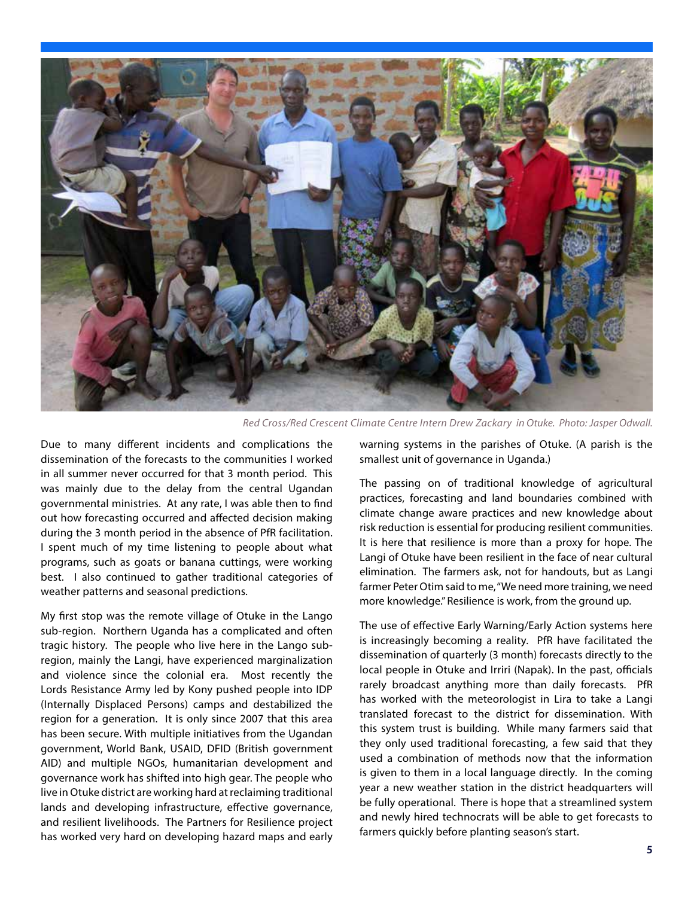

*Red Cross/Red Crescent Climate Centre Intern Drew Zackary in Otuke. Photo: Jasper Odwall.*

Due to many different incidents and complications the dissemination of the forecasts to the communities I worked in all summer never occurred for that 3 month period. This was mainly due to the delay from the central Ugandan governmental ministries. At any rate, I was able then to find out how forecasting occurred and affected decision making during the 3 month period in the absence of PfR facilitation. I spent much of my time listening to people about what programs, such as goats or banana cuttings, were working best. I also continued to gather traditional categories of weather patterns and seasonal predictions.

My first stop was the remote village of Otuke in the Lango sub-region. Northern Uganda has a complicated and often tragic history. The people who live here in the Lango subregion, mainly the Langi, have experienced marginalization and violence since the colonial era. Most recently the Lords Resistance Army led by Kony pushed people into IDP (Internally Displaced Persons) camps and destabilized the region for a generation. It is only since 2007 that this area has been secure. With multiple initiatives from the Ugandan government, World Bank, USAID, DFID (British government AID) and multiple NGOs, humanitarian development and governance work has shifted into high gear. The people who live in Otuke district are working hard at reclaiming traditional lands and developing infrastructure, effective governance, and resilient livelihoods. The Partners for Resilience project has worked very hard on developing hazard maps and early

warning systems in the parishes of Otuke. (A parish is the smallest unit of governance in Uganda.)

The passing on of traditional knowledge of agricultural practices, forecasting and land boundaries combined with climate change aware practices and new knowledge about risk reduction is essential for producing resilient communities. It is here that resilience is more than a proxy for hope. The Langi of Otuke have been resilient in the face of near cultural elimination. The farmers ask, not for handouts, but as Langi farmer Peter Otim said to me, "We need more training, we need more knowledge." Resilience is work, from the ground up.

The use of effective Early Warning/Early Action systems here is increasingly becoming a reality. PfR have facilitated the dissemination of quarterly (3 month) forecasts directly to the local people in Otuke and Irriri (Napak). In the past, officials rarely broadcast anything more than daily forecasts. PfR has worked with the meteorologist in Lira to take a Langi translated forecast to the district for dissemination. With this system trust is building. While many farmers said that they only used traditional forecasting, a few said that they used a combination of methods now that the information is given to them in a local language directly. In the coming year a new weather station in the district headquarters will be fully operational. There is hope that a streamlined system and newly hired technocrats will be able to get forecasts to farmers quickly before planting season's start.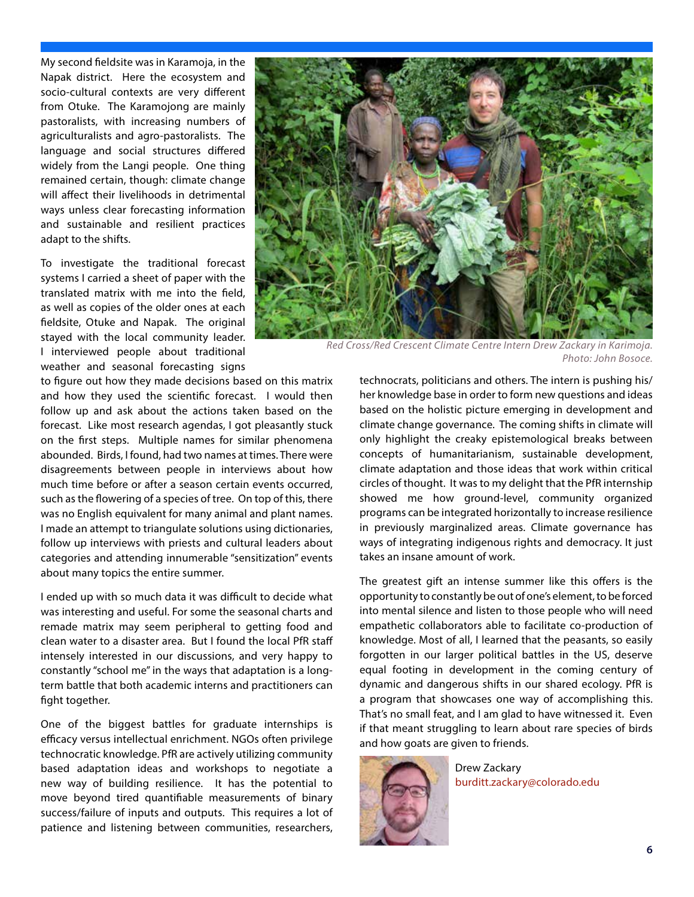My second fieldsite was in Karamoja, in the Napak district. Here the ecosystem and socio-cultural contexts are very different from Otuke. The Karamojong are mainly pastoralists, with increasing numbers of agriculturalists and agro-pastoralists. The language and social structures differed widely from the Langi people. One thing remained certain, though: climate change will affect their livelihoods in detrimental ways unless clear forecasting information and sustainable and resilient practices adapt to the shifts.

To investigate the traditional forecast systems I carried a sheet of paper with the translated matrix with me into the field, as well as copies of the older ones at each fieldsite, Otuke and Napak. The original stayed with the local community leader. I interviewed people about traditional weather and seasonal forecasting signs

to figure out how they made decisions based on this matrix and how they used the scientific forecast. I would then follow up and ask about the actions taken based on the forecast. Like most research agendas, I got pleasantly stuck on the first steps. Multiple names for similar phenomena abounded. Birds, I found, had two names at times. There were disagreements between people in interviews about how much time before or after a season certain events occurred, such as the flowering of a species of tree. On top of this, there was no English equivalent for many animal and plant names. I made an attempt to triangulate solutions using dictionaries, follow up interviews with priests and cultural leaders about categories and attending innumerable "sensitization" events about many topics the entire summer.

I ended up with so much data it was difficult to decide what was interesting and useful. For some the seasonal charts and remade matrix may seem peripheral to getting food and clean water to a disaster area. But I found the local PfR staff intensely interested in our discussions, and very happy to constantly "school me" in the ways that adaptation is a longterm battle that both academic interns and practitioners can fight together.

One of the biggest battles for graduate internships is efficacy versus intellectual enrichment. NGOs often privilege technocratic knowledge. PfR are actively utilizing community based adaptation ideas and workshops to negotiate a new way of building resilience. It has the potential to move beyond tired quantifiable measurements of binary success/failure of inputs and outputs. This requires a lot of patience and listening between communities, researchers,



*Red Cross/Red Crescent Climate Centre Intern Drew Zackary in Karimoja. Photo: John Bosoce.*

technocrats, politicians and others. The intern is pushing his/ her knowledge base in order to form new questions and ideas based on the holistic picture emerging in development and climate change governance. The coming shifts in climate will only highlight the creaky epistemological breaks between concepts of humanitarianism, sustainable development, climate adaptation and those ideas that work within critical circles of thought. It was to my delight that the PfR internship showed me how ground-level, community organized programs can be integrated horizontally to increase resilience in previously marginalized areas. Climate governance has ways of integrating indigenous rights and democracy. It just takes an insane amount of work.

The greatest gift an intense summer like this offers is the opportunity to constantly be out of one's element, to be forced into mental silence and listen to those people who will need empathetic collaborators able to facilitate co-production of knowledge. Most of all, I learned that the peasants, so easily forgotten in our larger political battles in the US, deserve equal footing in development in the coming century of dynamic and dangerous shifts in our shared ecology. PfR is a program that showcases one way of accomplishing this. That's no small feat, and I am glad to have witnessed it. Even if that meant struggling to learn about rare species of birds and how goats are given to friends.



Drew Zackary burditt.zackary@colorado.edu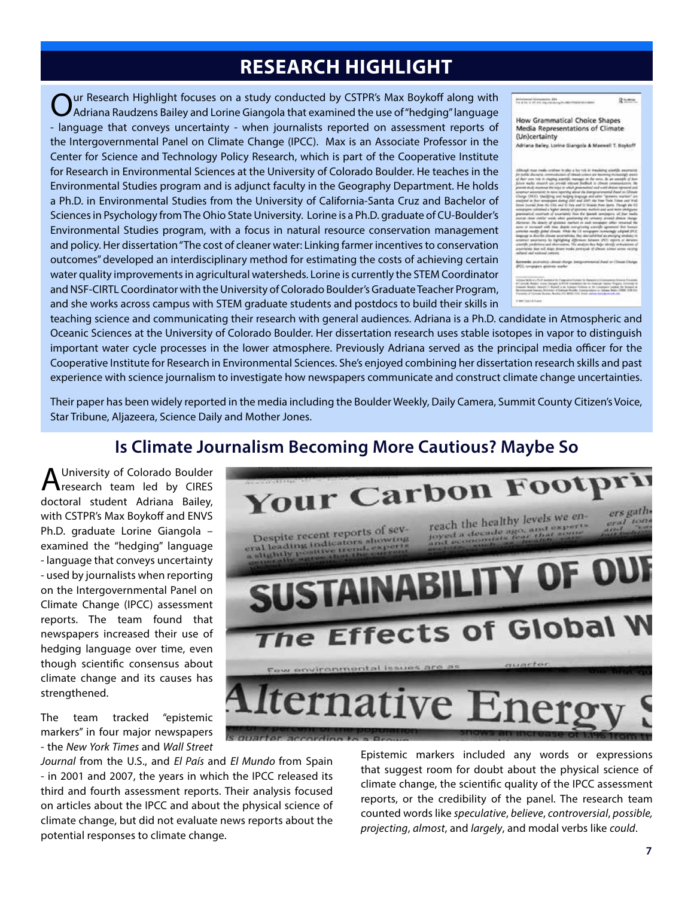### **RESEARCH HIGHLIGHT**

Our Research Highlight focuses on a study conducted by CSTPR's Max Boykoff along with Adriana Raudzens Bailey and Lorine Giangola that examined the use of "hedging" language - language that conveys uncertainty - when journalists reported on assessment reports of the Intergovernmental Panel on Climate Change (IPCC). Max is an Associate Professor in the Center for Science and Technology Policy Research, which is part of the Cooperative Institute for Research in Environmental Sciences at the University of Colorado Boulder. He teaches in the Environmental Studies program and is adjunct faculty in the Geography Department. He holds a Ph.D. in Environmental Studies from the University of California-Santa Cruz and Bachelor of Sciences in Psychology from The Ohio State University. Lorine is a Ph.D. graduate of CU-Boulder's Environmental Studies program, with a focus in natural resource conservation management and policy. Her dissertation "The cost of cleaner water: Linking farmer incentives to conservation outcomes" developed an interdisciplinary method for estimating the costs of achieving certain water quality improvements in agricultural watersheds. Lorine is currently the STEM Coordinator and NSF-CIRTL Coordinator with the University of Colorado Boulder's Graduate Teacher Program, and she works across campus with STEM graduate students and postdocs to build their skills in

Media Representations of Climate (Un)certainty Adriana Bailey, Lorine Gianonia & Maywell T. Boykoff

**How Grammatical Choice Shapes** 

Britainese Womenster, 201

 $2 - 4 - 6$ 

teaching science and communicating their research with general audiences. Adriana is a Ph.D. candidate in Atmospheric and Oceanic Sciences at the University of Colorado Boulder. Her dissertation research uses stable isotopes in vapor to distinguish important water cycle processes in the lower atmosphere. Previously Adriana served as the principal media officer for the Cooperative Institute for Research in Environmental Sciences. She's enjoyed combining her dissertation research skills and past experience with science journalism to investigate how newspapers communicate and construct climate change uncertainties.

Their paper has been widely reported in the media including the Boulder Weekly, Daily Camera, Summit County Citizen's Voice, Star Tribune, Aljazeera, Science Daily and Mother Jones.

### **Is Climate Journalism Becoming More Cautious? Maybe So**

A University of Colorado Boulder<br>Aresearch team led by CIRES doctoral student Adriana Bailey, with CSTPR's Max Boykoff and ENVS Ph.D. graduate Lorine Giangola – examined the "hedging" language - language that conveys uncertainty - used by journalists when reporting on the Intergovernmental Panel on Climate Change (IPCC) assessment reports. The team found that newspapers increased their use of hedging language over time, even though scientific consensus about climate change and its causes has strengthened.

The team tracked "epistemic markers" in four major newspapers - the *New York Times* and *Wall Street* 

*Journal* from the U.S., and *El País* and *El Mundo* from Spain - in 2001 and 2007, the years in which the IPCC released its third and fourth assessment reports. Their analysis focused on articles about the IPCC and about the physical science of climate change, but did not evaluate news reports about the potential responses to climate change.

Epistemic markers included any words or expressions that suggest room for doubt about the physical science of climate change, the scientific quality of the IPCC assessment reports, or the credibility of the panel. The research team counted words like *speculative*, *believe*, *controversial*, *possible, projecting*, *almost*, and *largely*, and modal verbs like *could*.

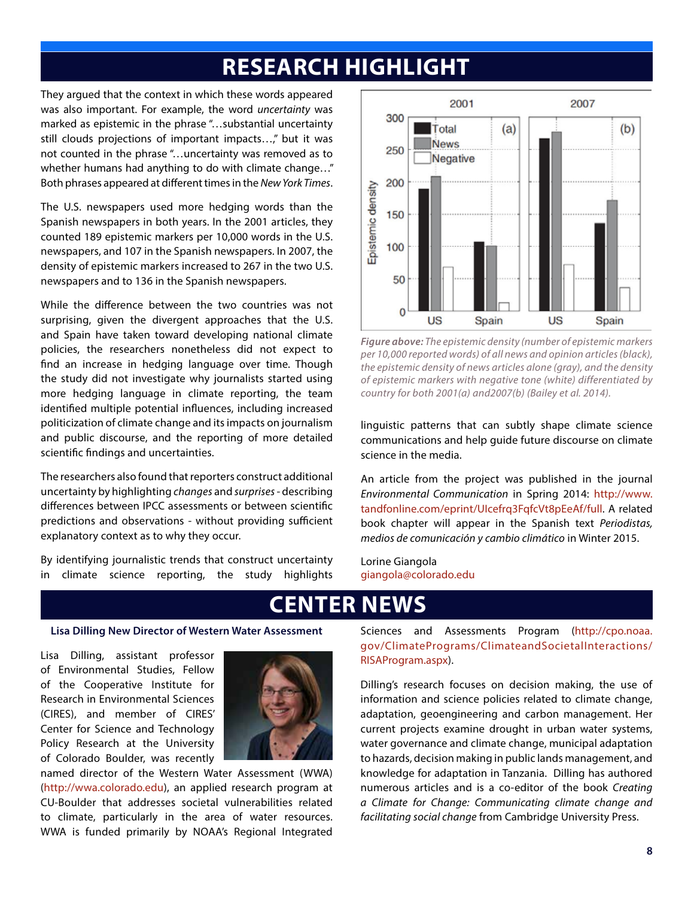## **RESEARCH HIGHLIGHT**

They argued that the context in which these words appeared was also important. For example, the word *uncertainty* was marked as epistemic in the phrase "…substantial uncertainty still clouds projections of important impacts…," but it was not counted in the phrase "…uncertainty was removed as to whether humans had anything to do with climate change…" Both phrases appeared at different times in the *New York Times*.

The U.S. newspapers used more hedging words than the Spanish newspapers in both years. In the 2001 articles, they counted 189 epistemic markers per 10,000 words in the U.S. newspapers, and 107 in the Spanish newspapers. In 2007, the density of epistemic markers increased to 267 in the two U.S. newspapers and to 136 in the Spanish newspapers.

While the difference between the two countries was not surprising, given the divergent approaches that the U.S. and Spain have taken toward developing national climate policies, the researchers nonetheless did not expect to find an increase in hedging language over time. Though the study did not investigate why journalists started using more hedging language in climate reporting, the team identified multiple potential influences, including increased politicization of climate change and its impacts on journalism and public discourse, and the reporting of more detailed scientific findings and uncertainties.

The researchers also found that reporters construct additional uncertainty by highlighting *changes* and *surprises* - describing differences between IPCC assessments or between scientific predictions and observations - without providing sufficient explanatory context as to why they occur.

By identifying journalistic trends that construct uncertainty in climate science reporting, the study highlights



*Figure above: The epistemic density (number of epistemic markers per 10,000 reported words) of all news and opinion articles (black), the epistemic density of news articles alone (gray), and the density of epistemic markers with negative tone (white) differentiated by country for both 2001(a) and2007(b) (Bailey et al. 2014).*

linguistic patterns that can subtly shape climate science communications and help guide future discourse on climate science in the media.

An article from the project was published in the journal *Environmental Communication* in Spring 2014: http://www. tandfonline.com/eprint/UIcefrq3FqfcVt8pEeAf/full. A related book chapter will appear in the Spanish text *Periodistas, medios de comunicación y cambio climático* in Winter 2015.

Lorine Giangola giangola@colorado.edu

### **ENTER NEW**

#### **Lisa Dilling New Director of Western Water Assessment**

Lisa Dilling, assistant professor of Environmental Studies, Fellow of the Cooperative Institute for Research in Environmental Sciences (CIRES), and member of CIRES' Center for Science and Technology Policy Research at the University of Colorado Boulder, was recently



named director of the Western Water Assessment (WWA) (http://wwa.colorado.edu), an applied research program at CU-Boulder that addresses societal vulnerabilities related to climate, particularly in the area of water resources. WWA is funded primarily by NOAA's Regional Integrated

Sciences and Assessments Program (http://cpo.noaa. gov/ClimatePrograms/ClimateandSocietalInteractions/ RISAProgram.aspx).

Dilling's research focuses on decision making, the use of information and science policies related to climate change, adaptation, geoengineering and carbon management. Her current projects examine drought in urban water systems, water governance and climate change, municipal adaptation to hazards, decision making in public lands management, and knowledge for adaptation in Tanzania. Dilling has authored numerous articles and is a co-editor of the book *Creating a Climate for Change: Communicating climate change and facilitating social change* from Cambridge University Press.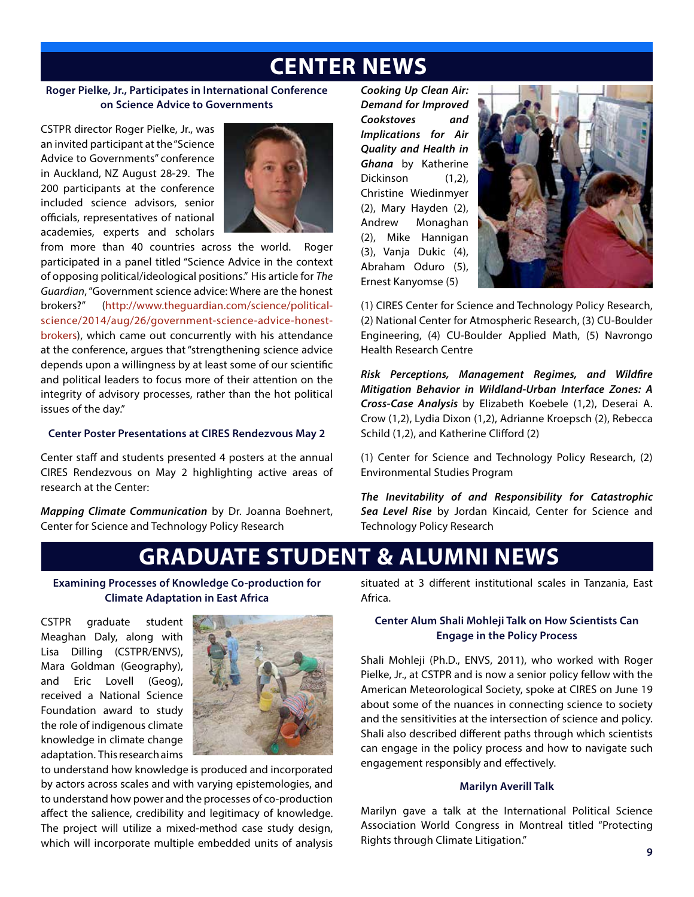### **CENTER NEWS**

#### **Roger Pielke, Jr., Participates in International Conference on Science Advice to Governments**

CSTPR director Roger Pielke, Jr., was an invited participant at the "Science Advice to Governments" conference in Auckland, NZ August 28-29. The 200 participants at the conference included science advisors, senior officials, representatives of national academies, experts and scholars



from more than 40 countries across the world. Roger participated in a panel titled "Science Advice in the context of opposing political/ideological positions." His article for *The Guardian*, "Government science advice: Where are the honest brokers?" (http://www.theguardian.com/science/politicalscience/2014/aug/26/government-science-advice-honestbrokers), which came out concurrently with his attendance at the conference, argues that "strengthening science advice depends upon a willingness by at least some of our scientific and political leaders to focus more of their attention on the integrity of advisory processes, rather than the hot political issues of the day."

#### **Center Poster Presentations at CIRES Rendezvous May 2**

Center staff and students presented 4 posters at the annual CIRES Rendezvous on May 2 highlighting active areas of research at the Center:

*Mapping Climate Communication* by Dr. Joanna Boehnert, Center for Science and Technology Policy Research

*Cooking Up Clean Air: Demand for Improved Cookstoves and Implications for Air Quality and Health in Ghana* by Katherine Dickinson (1,2), Christine Wiedinmyer (2), Mary Hayden (2), Andrew Monaghan (2), Mike Hannigan (3), Vanja Dukic (4), Abraham Oduro (5), Ernest Kanyomse (5)



(1) CIRES Center for Science and Technology Policy Research, (2) National Center for Atmospheric Research, (3) CU-Boulder Engineering, (4) CU-Boulder Applied Math, (5) Navrongo Health Research Centre

*Risk Perceptions, Management Regimes, and Wildfire Mitigation Behavior in Wildland-Urban Interface Zones: A Cross-Case Analysis* by Elizabeth Koebele (1,2), Deserai A. Crow (1,2), Lydia Dixon (1,2), Adrianne Kroepsch (2), Rebecca Schild (1,2), and Katherine Clifford (2)

(1) Center for Science and Technology Policy Research, (2) Environmental Studies Program

*The Inevitability of and Responsibility for Catastrophic Sea Level Rise* by Jordan Kincaid, Center for Science and Technology Policy Research

## **GRADUATE STUDENT & ALUMNI NEWS**

**Examining Processes of Knowledge Co-production for Climate Adaptation in East Africa**

CSTPR graduate student Meaghan Daly, along with Lisa Dilling (CSTPR/ENVS), Mara Goldman (Geography), and Eric Lovell (Geog), received a National Science Foundation award to study the role of indigenous climate knowledge in climate change adaptation. This research aims



to understand how knowledge is produced and incorporated by actors across scales and with varying epistemologies, and to understand how power and the processes of co-production affect the salience, credibility and legitimacy of knowledge. The project will utilize a mixed-method case study design, which will incorporate multiple embedded units of analysis

situated at 3 different institutional scales in Tanzania, East Africa.

#### **Center Alum Shali Mohleji Talk on How Scientists Can Engage in the Policy Process**

Shali Mohleji (Ph.D., ENVS, 2011), who worked with Roger Pielke, Jr., at CSTPR and is now a senior policy fellow with the American Meteorological Society, spoke at CIRES on June 19 about some of the nuances in connecting science to society and the sensitivities at the intersection of science and policy. Shali also described different paths through which scientists can engage in the policy process and how to navigate such engagement responsibly and effectively.

#### **Marilyn Averill Talk**

Marilyn gave a talk at the International Political Science Association World Congress in Montreal titled "Protecting Rights through Climate Litigation."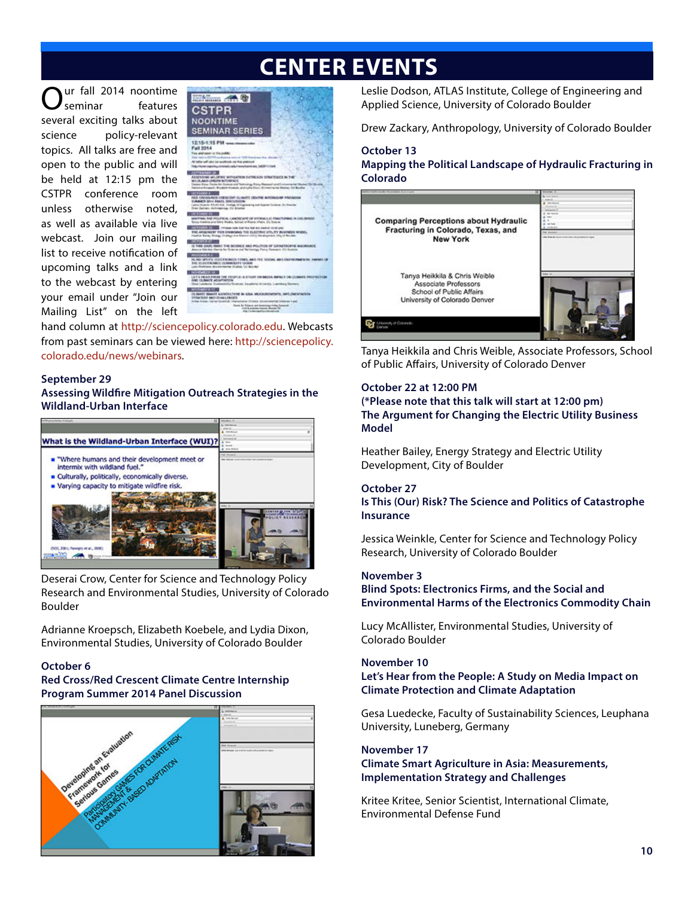# **CENTER EVENTS**

ur fall 2014 noontime<br>
seminar
features features several exciting talks about science policy-relevant topics. All talks are free and open to the public and will be held at 12:15 pm the CSTPR conference room unless otherwise noted, as well as available via live webcast. Join our mailing list to receive notification of upcoming talks and a link to the webcast by entering your email under "Join our Mailing List" on the left



hand column at http://sciencepolicy.colorado.edu. Webcasts from past seminars can be viewed here: http://sciencepolicy. colorado.edu/news/webinars.

#### **September 29**

**Assessing Wildfire Mitigation Outreach Strategies in the Wildland-Urban Interface** 



Deserai Crow, Center for Science and Technology Policy Research and Environmental Studies, University of Colorado Boulder

Adrianne Kroepsch, Elizabeth Koebele, and Lydia Dixon, Environmental Studies, University of Colorado Boulder

#### **October 6**

#### **Red Cross/Red Crescent Climate Centre Internship Program Summer 2014 Panel Discussion**



Leslie Dodson, ATLAS Institute, College of Engineering and Applied Science, University of Colorado Boulder

Drew Zackary, Anthropology, University of Colorado Boulder

#### **October 13**

**Mapping the Political Landscape of Hydraulic Fracturing in Colorado**



Tanya Heikkila and Chris Weible, Associate Professors, School of Public Affairs, University of Colorado Denver

#### **October 22 at 12:00 PM**

**(\*Please note that this talk will start at 12:00 pm) The Argument for Changing the Electric Utility Business Model** 

Heather Bailey, Energy Strategy and Electric Utility Development, City of Boulder

#### **October 27**

**Is This (Our) Risk? The Science and Politics of Catastrophe Insurance**

Jessica Weinkle, Center for Science and Technology Policy Research, University of Colorado Boulder

#### **November 3**

**Blind Spots: Electronics Firms, and the Social and Environmental Harms of the Electronics Commodity Chain**

Lucy McAllister, Environmental Studies, University of Colorado Boulder

#### **November 10**

**Let's Hear from the People: A Study on Media Impact on Climate Protection and Climate Adaptation**

Gesa Luedecke, Faculty of Sustainability Sciences, Leuphana University, Luneberg, Germany

#### **November 17**

#### **Climate Smart Agriculture in Asia: Measurements, Implementation Strategy and Challenges**

Kritee Kritee, Senior Scientist, International Climate, Environmental Defense Fund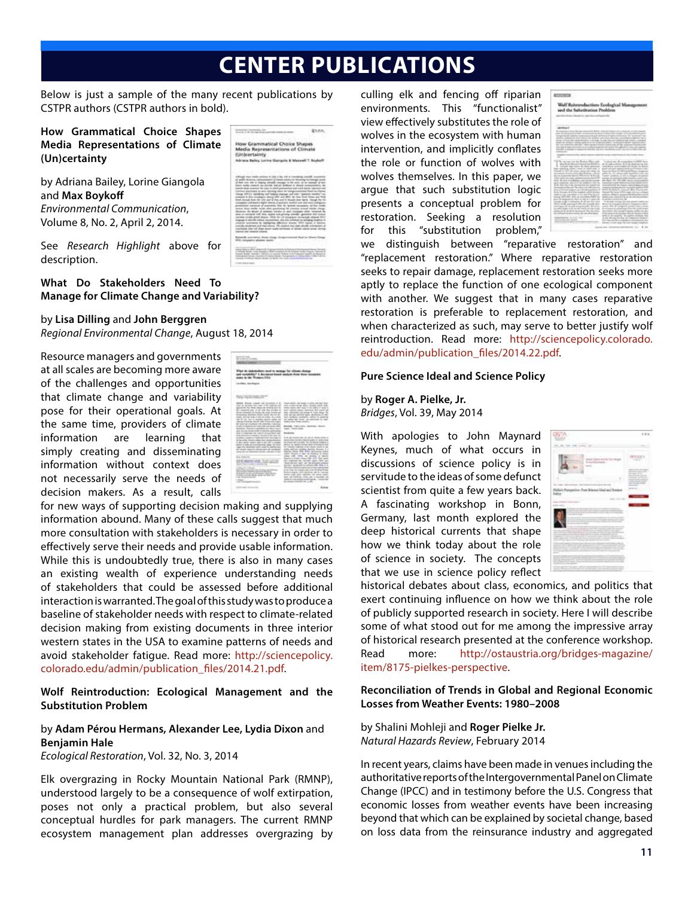## **CENTER PUBLICATIONS**

Below is just a sample of the many recent publications by CSTPR authors (CSTPR authors in bold).

**How Grammatical Choice Shapes Media Representations of Climate (Un)certainty**

by Adriana Bailey, Lorine Giangola and **Max Boykoff**  *Environmental Communication*, Volume 8, No. 2, April 2, 2014.

See *Research Highlight* above for description.

**What Do Stakeholders Need To Manage for Climate Change and Variability?**

#### by **Lisa Dilling** and **John Berggren**

*Regional Environmental Change*, August 18, 2014

Resource managers and governments at all scales are becoming more aware of the challenges and opportunities that climate change and variability pose for their operational goals. At the same time, providers of climate information are learning that simply creating and disseminating information without context does not necessarily serve the needs of decision makers. As a result, calls



stical Choice Sh<br>sentations of Cl

for new ways of supporting decision making and supplying information abound. Many of these calls suggest that much more consultation with stakeholders is necessary in order to effectively serve their needs and provide usable information. While this is undoubtedly true, there is also in many cases an existing wealth of experience understanding needs of stakeholders that could be assessed before additional interaction is warranted. The goal of this study was to produce a baseline of stakeholder needs with respect to climate-related decision making from existing documents in three interior western states in the USA to examine patterns of needs and avoid stakeholder fatigue. Read more: http://sciencepolicy. colorado.edu/admin/publication\_files/2014.21.pdf.

**Wolf Reintroduction: Ecological Management and the Substitution Problem**

#### by **Adam Pérou Hermans, Alexander Lee, Lydia Dixon** and **Benjamin Hale**

*Ecological Restoration*, Vol. 32, No. 3, 2014

Elk overgrazing in Rocky Mountain National Park (RMNP), understood largely to be a consequence of wolf extirpation, poses not only a practical problem, but also several conceptual hurdles for park managers. The current RMNP ecosystem management plan addresses overgrazing by culling elk and fencing off riparian environments. This "functionalist" view effectively substitutes the role of wolves in the ecosystem with human intervention, and implicitly conflates the role or function of wolves with wolves themselves. In this paper, we argue that such substitution logic presents a conceptual problem for restoration. Seeking a resolution for this "substitution problem,"

|                                                                                                                                                    | ctions Ecological Mana                                                               |
|----------------------------------------------------------------------------------------------------------------------------------------------------|--------------------------------------------------------------------------------------|
| ad the Substitution Problem                                                                                                                        |                                                                                      |
|                                                                                                                                                    |                                                                                      |
|                                                                                                                                                    |                                                                                      |
|                                                                                                                                                    |                                                                                      |
| <b>MOVEMENT</b>                                                                                                                                    |                                                                                      |
| the company determine collected that devices                                                                                                       |                                                                                      |
| Arrest Mary                                                                                                                                        | all the first product that the                                                       |
| an articles line initial minimize to she can. In that the<br>the characters' beauty study to the transportation operating to the anti-             |                                                                                      |
|                                                                                                                                                    |                                                                                      |
|                                                                                                                                                    | <b>Box and shot relations</b><br>9.630                                               |
|                                                                                                                                                    |                                                                                      |
|                                                                                                                                                    |                                                                                      |
| the manager car shall<br><b>Rodrigh William and It</b><br>dear finally resume in program to the member of the company of the set of the company of | <b>Scale of</b>                                                                      |
| To Kissin that Angles Architects primotest . In<br>legal seattless colder, most as what book<br>٠                                                  | statement and conduct to the project deviate                                         |
| transfer to \$1.50 days alone cannot<br>accounts for the party of the Alan Rossey.<br>---                                                          | <b><i><u>Advanced with</u></i></b><br><b>ITE</b> painted with<br>action 1            |
| $-0.04$                                                                                                                                            | and produces or sell as investor.<br><b><i>Contractory Lights</i></b><br><b>Side</b> |
| and computer sees and last present a con-                                                                                                          |                                                                                      |
| all all control days a case                                                                                                                        |                                                                                      |
| program in white and<br>----                                                                                                                       | spokes Armite transaction<br>an in Konstruction                                      |
| <b>LA Monte A</b><br><b>POLIS</b> AV                                                                                                               |                                                                                      |
| Arrival<br>Anderson, McDonaldon, Alberta<br>Adaptation for the U.S. and Law 4 color                                                                | the come of term Fix & the A<br>parties considerable and                             |
| foreign circuit or referential the all alts day of<br><b>State of American</b>                                                                     | in this paper in case the state of<br>take the model points of interest              |
| and concern the state and<br>the after chances the method conta-                                                                                   | same first in consent out<br>to consider the department of the last                  |
| with an off office and the standard and<br><b>State State</b><br>an Afford Indettesen of added                                                     | The carried at the departments that the first                                        |
|                                                                                                                                                    | and its tills (accurate). Two contrac-                                               |
| <b>Constitution of the State Associate</b><br>and the same special con-                                                                            | and Hopkinston in Taken<br>The Allen Antique Local Ed at a demand                    |
|                                                                                                                                                    |                                                                                      |
|                                                                                                                                                    |                                                                                      |

we distinguish between "reparative restoration" and "replacement restoration." Where reparative restoration seeks to repair damage, replacement restoration seeks more aptly to replace the function of one ecological component with another. We suggest that in many cases reparative restoration is preferable to replacement restoration, and when characterized as such, may serve to better justify wolf reintroduction. Read more: http://sciencepolicy.colorado. edu/admin/publication\_files/2014.22.pdf.

#### **Pure Science Ideal and Science Policy**

by **Roger A. Pielke, Jr.** *Bridges*, Vol. 39, May 2014

With apologies to John Maynard Keynes, much of what occurs in discussions of science policy is in servitude to the ideas of some defunct scientist from quite a few years back. A fascinating workshop in Bonn, Germany, last month explored the deep historical currents that shape how we think today about the role of science in society. The concepts that we use in science policy reflect



historical debates about class, economics, and politics that exert continuing influence on how we think about the role of publicly supported research in society. Here I will describe some of what stood out for me among the impressive array of historical research presented at the conference workshop. Read more: http://ostaustria.org/bridges-magazine/ item/8175-pielkes-perspective.

#### **Reconciliation of Trends in Global and Regional Economic Losses from Weather Events: 1980–2008**

by Shalini Mohleji and **Roger Pielke Jr.** *Natural Hazards Review*, February 2014

In recent years, claims have been made in venues including the authoritative reports of the Intergovernmental Panel on Climate Change (IPCC) and in testimony before the U.S. Congress that economic losses from weather events have been increasing beyond that which can be explained by societal change, based on loss data from the reinsurance industry and aggregated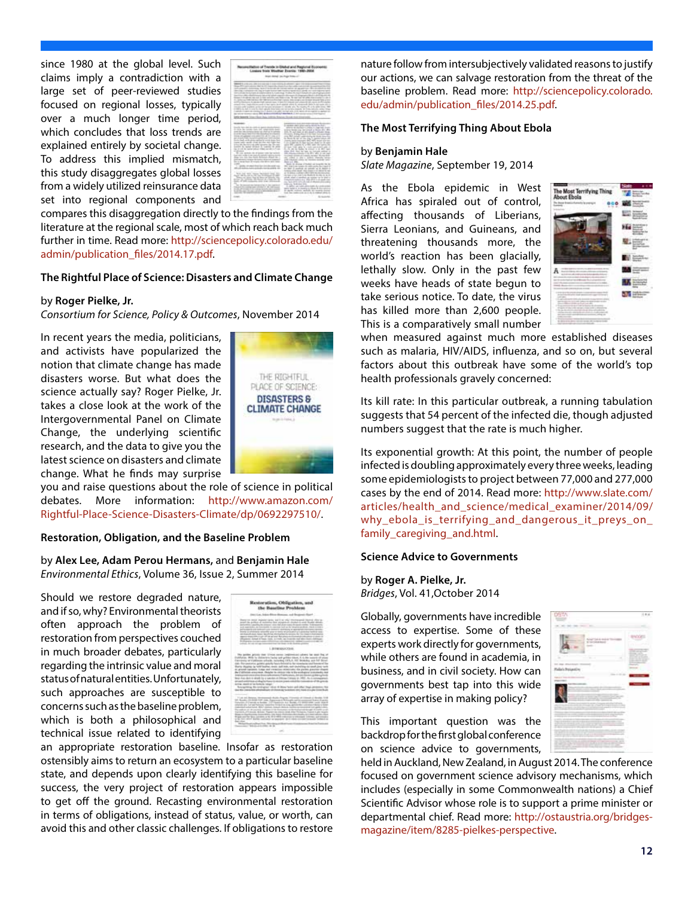since 1980 at the global level. Such claims imply a contradiction with a large set of peer-reviewed studies focused on regional losses, typically over a much longer time period, which concludes that loss trends are explained entirely by societal change. To address this implied mismatch, this study disaggregates global losses from a widely utilized reinsurance data set into regional components and



compares this disaggregation directly to the findings from the literature at the regional scale, most of which reach back much further in time. Read more: http://sciencepolicy.colorado.edu/ admin/publication\_files/2014.17.pdf.

#### **The Rightful Place of Science: Disasters and Climate Change**

#### by **Roger Pielke, Jr.**

*Consortium for Science, Policy & Outcomes*, November 2014

In recent years the media, politicians, and activists have popularized the notion that climate change has made disasters worse. But what does the science actually say? Roger Pielke, Jr. takes a close look at the work of the Intergovernmental Panel on Climate Change, the underlying scientific research, and the data to give you the latest science on disasters and climate change. What he finds may surprise



you and raise questions about the role of science in political debates. More information: http://www.amazon.com/ Rightful-Place-Science-Disasters-Climate/dp/0692297510/.

#### **Restoration, Obligation, and the Baseline Problem**

by **Alex Lee, Adam Perou Hermans,** and **Benjamin Hale**  *Environmental Ethics*, Volume 36, Issue 2, Summer 2014

Should we restore degraded nature, and if so, why? Environmental theorists often approach the problem of restoration from perspectives couched in much broader debates, particularly regarding the intrinsic value and moral status of natural entities. Unfortunately, such approaches are susceptible to concerns such as the baseline problem, which is both a philosophical and technical issue related to identifying



an appropriate restoration baseline. Insofar as restoration ostensibly aims to return an ecosystem to a particular baseline state, and depends upon clearly identifying this baseline for success, the very project of restoration appears impossible to get off the ground. Recasting environmental restoration in terms of obligations, instead of status, value, or worth, can avoid this and other classic challenges. If obligations to restore

nature follow from intersubjectively validated reasons to justify our actions, we can salvage restoration from the threat of the baseline problem. Read more: http://sciencepolicy.colorado. edu/admin/publication\_files/2014.25.pdf.

#### **The Most Terrifying Thing About Ebola**

#### by **Benjamin Hale**

*Slate Magazine*, September 19, 2014

As the Ebola epidemic in West Africa has spiraled out of control, affecting thousands of Liberians, Sierra Leonians, and Guineans, and threatening thousands more, the world's reaction has been glacially, lethally slow. Only in the past few weeks have heads of state begun to take serious notice. To date, the virus has killed more than 2,600 people. This is a comparatively small number



when measured against much more established diseases such as malaria, HIV/AIDS, influenza, and so on, but several factors about this outbreak have some of the world's top health professionals gravely concerned:

Its kill rate: In this particular outbreak, a running tabulation suggests that 54 percent of the infected die, though adjusted numbers suggest that the rate is much higher.

Its exponential growth: At this point, the number of people infected is doubling approximately every three weeks, leading some epidemiologists to project between 77,000 and 277,000 cases by the end of 2014. Read more: http://www.slate.com/ articles/health\_and\_science/medical\_examiner/2014/09/ why\_ebola\_is\_terrifying\_and\_dangerous\_it\_preys\_on\_ family\_caregiving\_and.html.

#### **Science Advice to Governments**

#### by **Roger A. Pielke, Jr.**

*Bridges*, Vol. 41,October 2014

Globally, governments have incredible access to expertise. Some of these experts work directly for governments, while others are found in academia, in business, and in civil society. How can governments best tap into this wide array of expertise in making policy?

This important question was the backdrop for the first global conference on science advice to governments,

held in Auckland, New Zealand, in August 2014. The conference focused on government science advisory mechanisms, which includes (especially in some Commonwealth nations) a Chief Scientific Advisor whose role is to support a prime minister or departmental chief. Read more: http://ostaustria.org/bridgesmagazine/item/8285-pielkes-perspective.

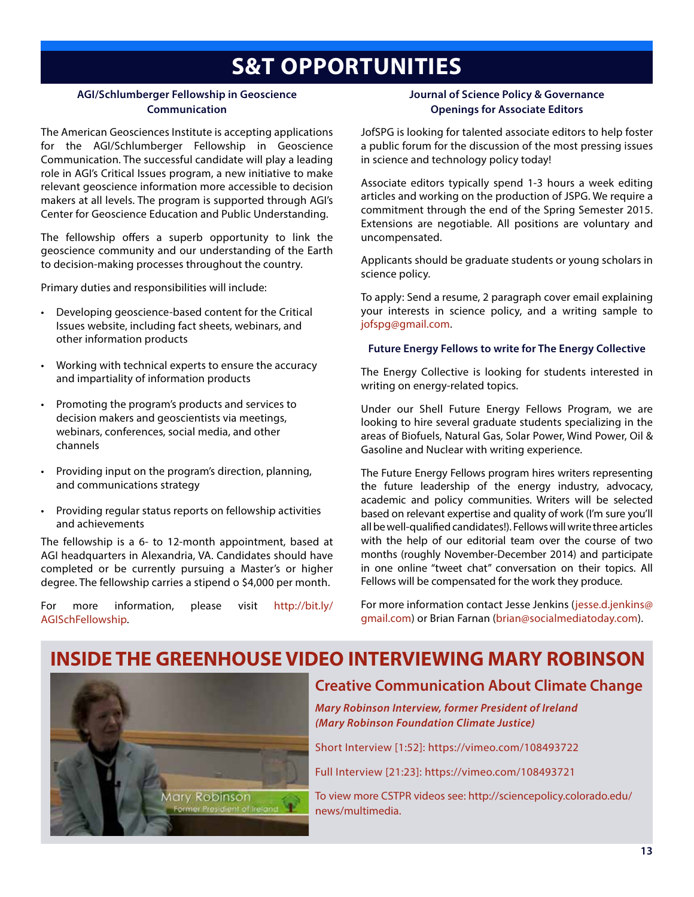## **S&T OPPORTUNITIES**

#### **AGI/Schlumberger Fellowship in Geoscience Communication**

The American Geosciences Institute is accepting applications for the AGI/Schlumberger Fellowship in Geoscience Communication. The successful candidate will play a leading role in AGI's Critical Issues program, a new initiative to make relevant geoscience information more accessible to decision makers at all levels. The program is supported through AGI's Center for Geoscience Education and Public Understanding.

The fellowship offers a superb opportunity to link the geoscience community and our understanding of the Earth to decision-making processes throughout the country.

Primary duties and responsibilities will include:

- Developing geoscience-based content for the Critical Issues website, including fact sheets, webinars, and other information products
- Working with technical experts to ensure the accuracy and impartiality of information products
- • Promoting the program's products and services to decision makers and geoscientists via meetings, webinars, conferences, social media, and other channels
- • Providing input on the program's direction, planning, and communications strategy
- • Providing regular status reports on fellowship activities and achievements

The fellowship is a 6- to 12-month appointment, based at AGI headquarters in Alexandria, VA. Candidates should have completed or be currently pursuing a Master's or higher degree. The fellowship carries a stipend o \$4,000 per month.

For more information, please visit http://bit.ly/ AGISchFellowship.

#### **Journal of Science Policy & Governance Openings for Associate Editors**

JofSPG is looking for talented associate editors to help foster a public forum for the discussion of the most pressing issues in science and technology policy today!

Associate editors typically spend 1-3 hours a week editing articles and working on the production of JSPG. We require a commitment through the end of the Spring Semester 2015. Extensions are negotiable. All positions are voluntary and uncompensated.

Applicants should be graduate students or young scholars in science policy.

To apply: Send a resume, 2 paragraph cover email explaining your interests in science policy, and a writing sample to jofspg@gmail.com.

#### **Future Energy Fellows to write for The Energy Collective**

The Energy Collective is looking for students interested in writing on energy-related topics.

Under our Shell Future Energy Fellows Program, we are looking to hire several graduate students specializing in the areas of Biofuels, Natural Gas, Solar Power, Wind Power, Oil & Gasoline and Nuclear with writing experience.

The Future Energy Fellows program hires writers representing the future leadership of the energy industry, advocacy, academic and policy communities. Writers will be selected based on relevant expertise and quality of work (I'm sure you'll all be well-qualified candidates!). Fellows will write three articles with the help of our editorial team over the course of two months (roughly November-December 2014) and participate in one online "tweet chat" conversation on their topics. All Fellows will be compensated for the work they produce.

For more information contact Jesse Jenkins (jesse.d.jenkins@ gmail.com) or Brian Farnan (brian@socialmediatoday.com).

### **INSIDE THE GREENHOUSE VIDEO INTERVIEWING MARY ROBINSON**



### **Creative Communication About Climate Change**

*Mary Robinson Interview, former President of Ireland (Mary Robinson Foundation Climate Justice)*

Short Interview [1:52]: https://vimeo.com/108493722

Full Interview [21:23]: https://vimeo.com/108493721

To view more CSTPR videos see: http://sciencepolicy.colorado.edu/ news/multimedia.